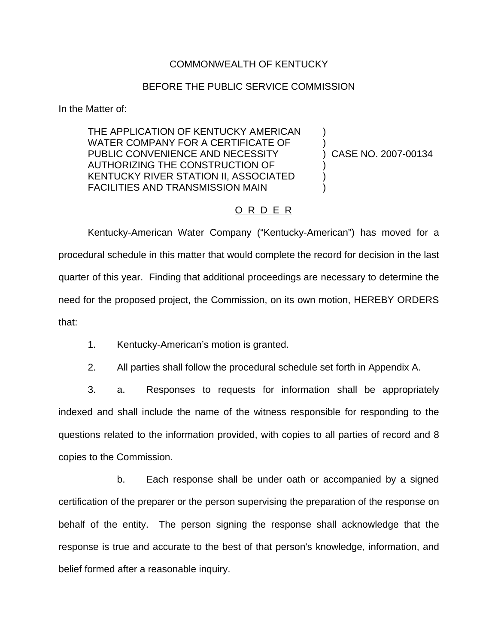### COMMONWEALTH OF KENTUCKY

#### BEFORE THE PUBLIC SERVICE COMMISSION

In the Matter of:

THE APPLICATION OF KENTUCKY AMERICAN WATER COMPANY FOR A CERTIFICATE OF PUBLIC CONVENIENCE AND NECESSITY AUTHORIZING THE CONSTRUCTION OF KENTUCKY RIVER STATION II, ASSOCIATED FACILITIES AND TRANSMISSION MAIN

) CASE NO. 2007-00134

) )

) ) )

## O R D E R

Kentucky-American Water Company ("Kentucky-American") has moved for a procedural schedule in this matter that would complete the record for decision in the last quarter of this year. Finding that additional proceedings are necessary to determine the need for the proposed project, the Commission, on its own motion, HEREBY ORDERS that:

- 1. Kentucky-American's motion is granted.
- 2. All parties shall follow the procedural schedule set forth in Appendix A.

3. a. Responses to requests for information shall be appropriately indexed and shall include the name of the witness responsible for responding to the questions related to the information provided, with copies to all parties of record and 8 copies to the Commission.

b. Each response shall be under oath or accompanied by a signed certification of the preparer or the person supervising the preparation of the response on behalf of the entity. The person signing the response shall acknowledge that the response is true and accurate to the best of that person's knowledge, information, and belief formed after a reasonable inquiry.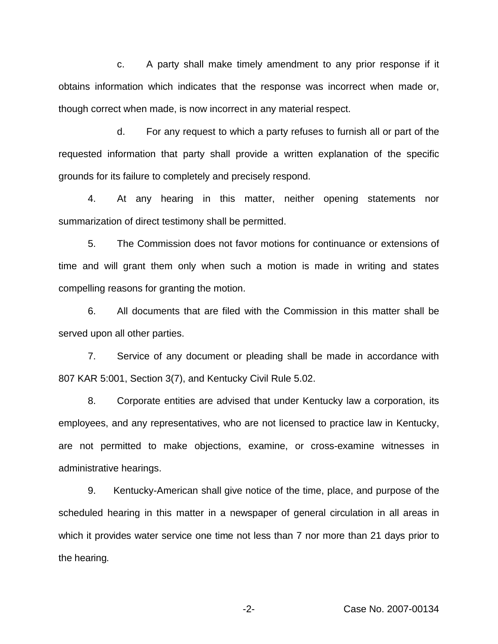c. A party shall make timely amendment to any prior response if it obtains information which indicates that the response was incorrect when made or, though correct when made, is now incorrect in any material respect.

d. For any request to which a party refuses to furnish all or part of the requested information that party shall provide a written explanation of the specific grounds for its failure to completely and precisely respond.

4. At any hearing in this matter, neither opening statements nor summarization of direct testimony shall be permitted.

5. The Commission does not favor motions for continuance or extensions of time and will grant them only when such a motion is made in writing and states compelling reasons for granting the motion.

6. All documents that are filed with the Commission in this matter shall be served upon all other parties.

7. Service of any document or pleading shall be made in accordance with 807 KAR 5:001, Section 3(7), and Kentucky Civil Rule 5.02.

8. Corporate entities are advised that under Kentucky law a corporation, its employees, and any representatives, who are not licensed to practice law in Kentucky, are not permitted to make objections, examine, or cross-examine witnesses in administrative hearings.

9. Kentucky-American shall give notice of the time, place, and purpose of the scheduled hearing in this matter in a newspaper of general circulation in all areas in which it provides water service one time not less than 7 nor more than 21 days prior to the hearing.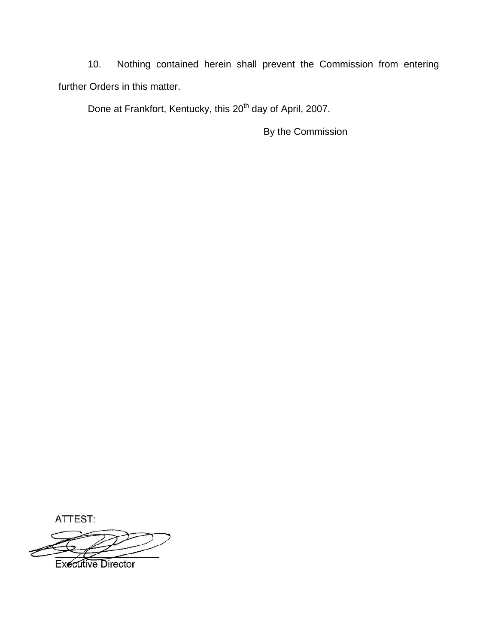10. Nothing contained herein shall prevent the Commission from entering further Orders in this matter.

Done at Frankfort, Kentucky, this 20<sup>th</sup> day of April, 2007.

By the Commission

ATTEST:

**Executive Director**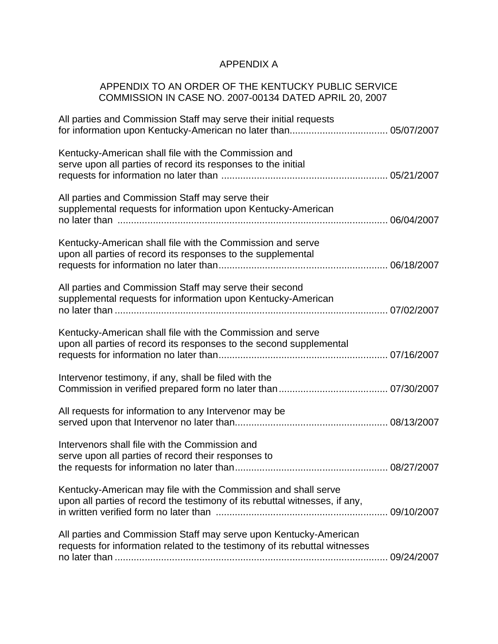# APPENDIX A

# APPENDIX TO AN ORDER OF THE KENTUCKY PUBLIC SERVICE COMMISSION IN CASE NO. 2007-00134 DATED APRIL 20, 2007

| All parties and Commission Staff may serve their initial requests                                                                                |  |
|--------------------------------------------------------------------------------------------------------------------------------------------------|--|
| Kentucky-American shall file with the Commission and<br>serve upon all parties of record its responses to the initial                            |  |
| All parties and Commission Staff may serve their<br>supplemental requests for information upon Kentucky-American                                 |  |
| Kentucky-American shall file with the Commission and serve<br>upon all parties of record its responses to the supplemental                       |  |
| All parties and Commission Staff may serve their second<br>supplemental requests for information upon Kentucky-American                          |  |
| Kentucky-American shall file with the Commission and serve<br>upon all parties of record its responses to the second supplemental                |  |
| Intervenor testimony, if any, shall be filed with the                                                                                            |  |
| All requests for information to any Intervenor may be                                                                                            |  |
| Intervenors shall file with the Commission and<br>serve upon all parties of record their responses to                                            |  |
| Kentucky-American may file with the Commission and shall serve<br>upon all parties of record the testimony of its rebuttal witnesses, if any,    |  |
| All parties and Commission Staff may serve upon Kentucky-American<br>requests for information related to the testimony of its rebuttal witnesses |  |
|                                                                                                                                                  |  |